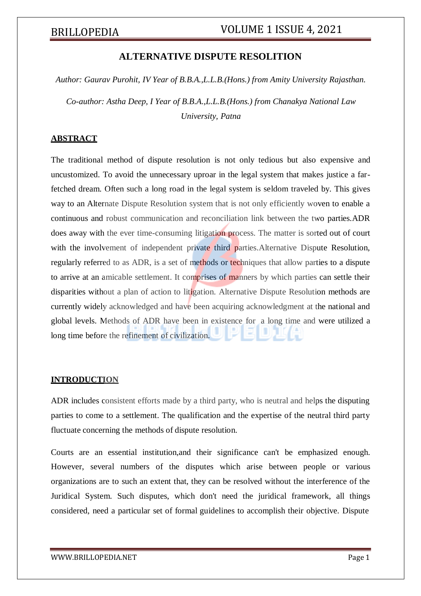# BRILLOPEDIA VOLUME 1 ISSUE 4, 2021

# **ALTERNATIVE DISPUTE RESOLITION**

*Author: Gaurav Purohit, IV Year of B.B.A.,L.L.B.(Hons.) from Amity University Rajasthan.*

*Co-author: Astha Deep, I Year of B.B.A.,L.L.B.(Hons.) from Chanakya National Law University, Patna*

## **ABSTRACT**

The traditional method of dispute resolution is not only tedious but also expensive and uncustomized. To avoid the unnecessary uproar in the legal system that makes justice a farfetched dream. Often such a long road in the legal system is seldom traveled by. This gives way to an Alternate Dispute Resolution system that is not only efficiently woven to enable a continuous and robust communication and reconciliation link between the two parties.ADR does away with the ever time-consuming litigation process. The matter is sorted out of court with the involvement of independent private third parties. Alternative Dispute Resolution, regularly referred to as ADR, is a set of methods or techniques that allow parties to a dispute to arrive at an amicable settlement. It comprises of manners by which parties can settle their disparities without a plan of action to litigation. Alternative Dispute Resolution methods are currently widely acknowledged and have been acquiring acknowledgment at the national and global levels. Methods of ADR have been in existence for a long time and were utilized a long time before the refinement of civilization.

## **INTRODUCTION**

ADR includes consistent efforts made by a third party, who is neutral and helps the disputing parties to come to a settlement. The qualification and the expertise of the neutral third party fluctuate concerning the methods of dispute resolution.

Courts are an essential institution,and their significance can't be emphasized enough. However, several numbers of the disputes which arise between people or various organizations are to such an extent that, they can be resolved without the interference of the Juridical System. Such disputes, which don't need the juridical framework, all things considered, need a particular set of formal guidelines to accomplish their objective. Dispute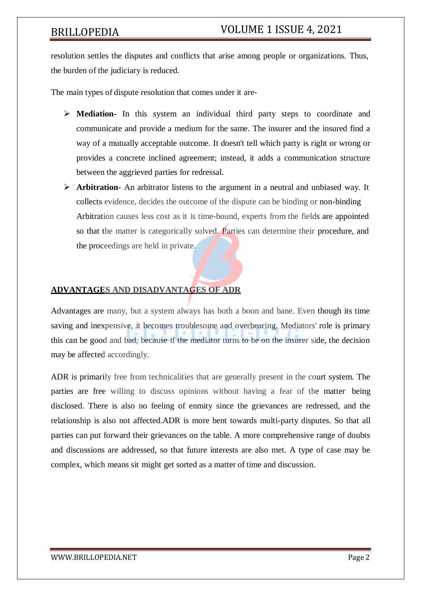resolution settles the disputes and conflicts that arise among people or organizations. Thus, the burden of the judiciary is reduced.

The main types of dispute resolution that comes under it are-

- **Mediation-** In this system an individual third party steps to coordinate and communicate and provide a medium for the same. The insurer and the insured find a way of a mutually acceptable outcome. It doesn't tell which party is right or wrong or provides a concrete inclined agreement; instead, it adds a communication structure between the aggrieved parties for redressal.
- **Arbitration** An arbitrator listens to the argument in a neutral and unbiased way. It collects evidence, decides the outcome of the dispute can be binding or non-binding Arbitration causes less cost as it is time-bound, experts from the fields are appointed so that the matter is categorically solved. Parties can determine their procedure, and the proceedings are held in private.

# **ADVANTAGES AND DISADVANTAGES OF ADR**

Advantages are many, but a system always has both a boon and bane. Even though its time saving and inexpensive, it becomes troublesome and overbearing. Mediators' role is primary this can be good and bad, because if the mediator turns to be on the insurer side, the decision may be affected accordingly.

ADR is primarily free from technicalities that are generally present in the court system. The parties are free willing to discuss opinions without having a fear of the matter being disclosed. There is also no feeling of enmity since the grievances are redressed, and the relationship is also not affected.ADR is more bent towards multi-party disputes. So that all parties can put forward their grievances on the table. A more comprehensive range of doubts and discussions are addressed, so that future interests are also met. A type of case may be complex, which means sit might get sorted as a matter of time and discussion.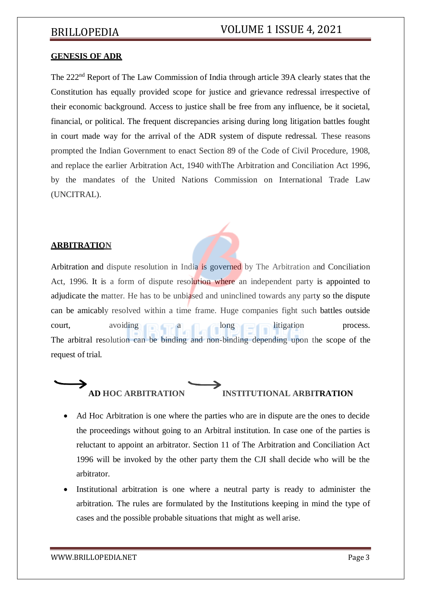# BRILLOPEDIA VOLUME 1 ISSUE 4, 2021

### **GENESIS OF ADR**

The 222nd Report of The Law Commission of India through article 39A clearly states that the Constitution has equally provided scope for justice and grievance redressal irrespective of their economic background. Access to justice shall be free from any influence, be it societal, financial, or political. The frequent discrepancies arising during long litigation battles fought in court made way for the arrival of the ADR system of dispute redressal. These reasons prompted the Indian Government to enact Section 89 of the Code of Civil Procedure, 1908, and replace the earlier Arbitration Act, 1940 withThe Arbitration and Conciliation Act 1996, by the mandates of the United Nations Commission on International Trade Law (UNCITRAL).

### **ARBITRATION**

Arbitration and dispute resolution in India is governed by The Arbitration and Conciliation Act, 1996. It is a form of dispute resolution where an independent party is appointed to adjudicate the matter. He has to be unbiased and uninclined towards any party so the dispute can be amicably resolved within a time frame. Huge companies fight such battles outside court, avoiding a long long litigation process. The arbitral resolution can be binding and non-binding depending upon the scope of the request of trial.



- Ad Hoc Arbitration is one where the parties who are in dispute are the ones to decide the proceedings without going to an Arbitral institution. In case one of the parties is reluctant to appoint an arbitrator. Section 11 of The Arbitration and Conciliation Act 1996 will be invoked by the other party them the CJI shall decide who will be the arbitrator.
- Institutional arbitration is one where a neutral party is ready to administer the arbitration. The rules are formulated by the Institutions keeping in mind the type of cases and the possible probable situations that might as well arise.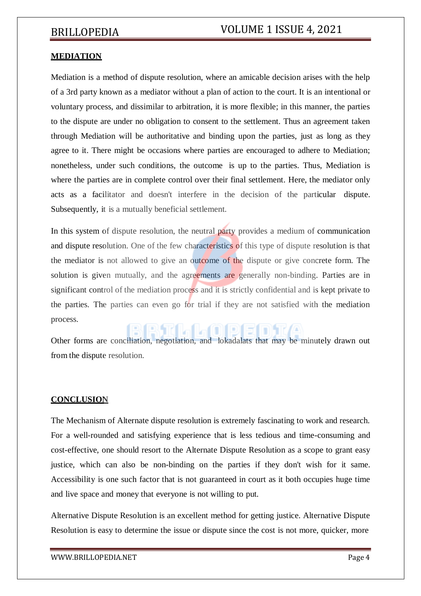## **MEDIATION**

Mediation is a method of dispute resolution, where an amicable decision arises with the help of a 3rd party known as a mediator without a plan of action to the court. It is an intentional or voluntary process, and dissimilar to arbitration, it is more flexible; in this manner, the parties to the dispute are under no obligation to consent to the settlement. Thus an agreement taken through Mediation will be authoritative and binding upon the parties, just as long as they agree to it. There might be occasions where parties are encouraged to adhere to Mediation; nonetheless, under such conditions, the outcome is up to the parties. Thus, Mediation is where the parties are in complete control over their final settlement. Here, the mediator only acts as a facilitator and doesn't interfere in the decision of the particular dispute. Subsequently, it is a mutually beneficial settlement.

In this system of dispute resolution, the neutral party provides a medium of communication and dispute resolution. One of the few characteristics of this type of dispute resolution is that the mediator is not allowed to give an outcome of the dispute or give concrete form. The solution is given mutually, and the agreements are generally non-binding. Parties are in significant control of the mediation process and it is strictly confidential and is kept private to the parties. The parties can even go for trial if they are not satisfied with the mediation process.

# œ

Other forms are conciliation, negotiation, and lokadalats that may be minutely drawn out from the dispute resolution.

## **CONCLUSION**

The Mechanism of Alternate dispute resolution is extremely fascinating to work and research. For a well-rounded and satisfying experience that is less tedious and time-consuming and cost-effective, one should resort to the Alternate Dispute Resolution as a scope to grant easy justice, which can also be non-binding on the parties if they don't wish for it same. Accessibility is one such factor that is not guaranteed in court as it both occupies huge time and live space and money that everyone is not willing to put.

Alternative Dispute Resolution is an excellent method for getting justice. Alternative Dispute Resolution is easy to determine the issue or dispute since the cost is not more, quicker, more